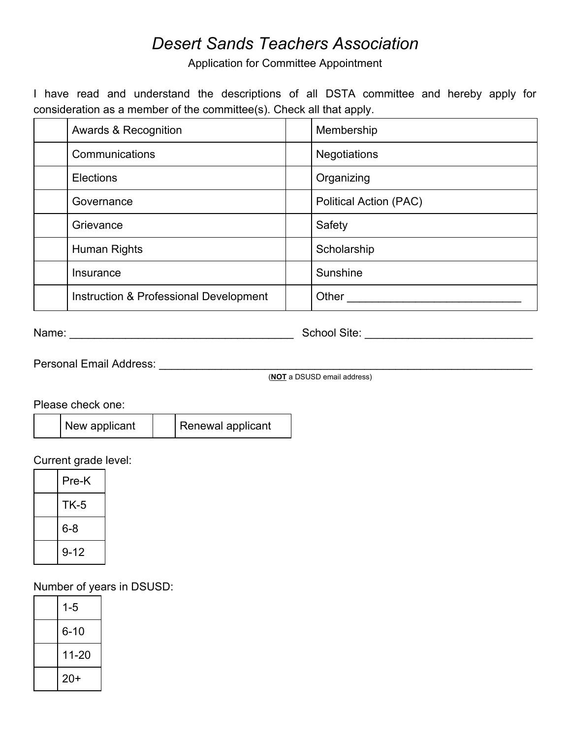## *Desert Sands Teachers Association*

Application for Committee Appointment

I have read and understand the descriptions of all DSTA committee and hereby apply for consideration as a member of the committee(s). Check all that apply.

| <b>Awards &amp; Recognition</b>        | Membership             |  |
|----------------------------------------|------------------------|--|
| Communications                         | <b>Negotiations</b>    |  |
| <b>Elections</b>                       | Organizing             |  |
| Governance                             | Political Action (PAC) |  |
| Grievance                              | Safety                 |  |
| Human Rights                           | Scholarship            |  |
| Insurance                              | Sunshine               |  |
| Instruction & Professional Development | Other                  |  |

Name: \_\_\_\_\_\_\_\_\_\_\_\_\_\_\_\_\_\_\_\_\_\_\_\_\_\_\_\_\_\_\_\_\_\_\_\_ School Site: \_\_\_\_\_\_\_\_\_\_\_\_\_\_\_\_\_\_\_\_\_\_\_\_\_\_\_

Personal Email Address: \_\_\_\_\_\_\_\_\_\_\_\_\_\_\_\_\_\_\_\_\_\_\_\_\_\_\_\_\_\_\_\_\_\_\_\_\_\_\_\_\_\_\_\_\_\_\_\_\_\_\_\_\_\_\_\_\_\_\_\_

(**NOT** a DSUSD email address)

Please check one:

| New applicant | Renewal applicant |
|---------------|-------------------|
|---------------|-------------------|

Current grade level:

| Pre-K       |
|-------------|
| <b>TK-5</b> |
| 6-8         |
| $9 - 12$    |

Number of years in DSUSD:

| $1 - 5$  |  |
|----------|--|
| $6 - 10$ |  |
| 11-20    |  |
| $20+$    |  |